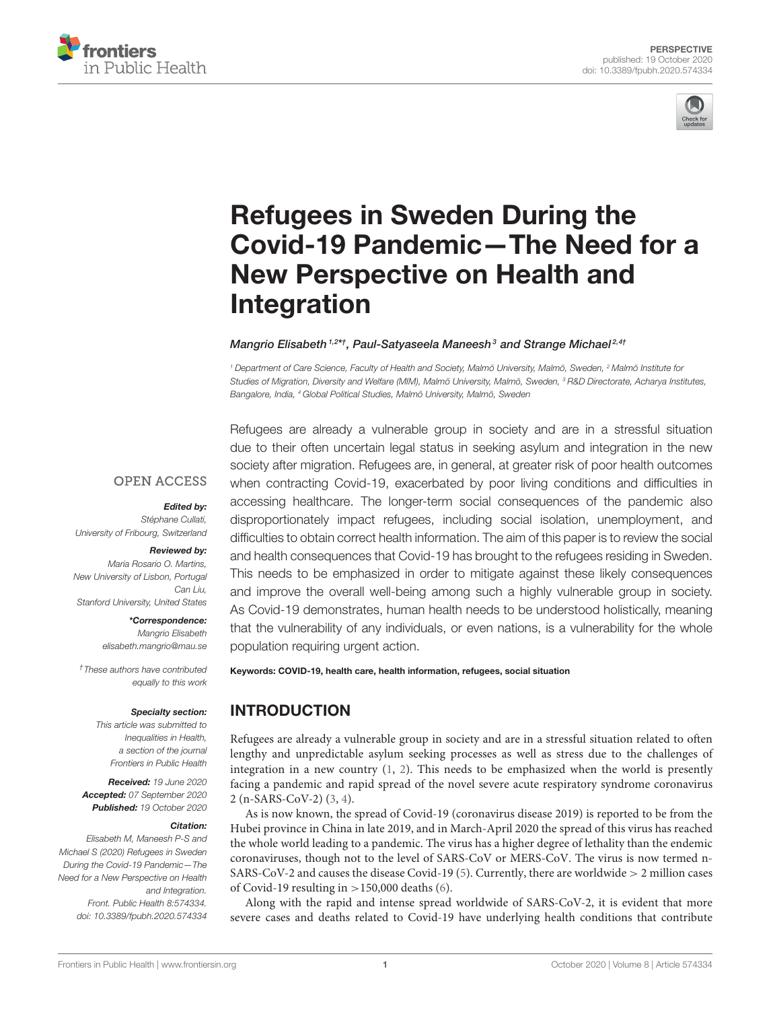



# Refugees in Sweden During the [Covid-19 Pandemic—The Need for a](https://www.frontiersin.org/articles/10.3389/fpubh.2020.574334/full) New Perspective on Health and Integration

Mangrio Elisabeth<sup>1,2\*†</sup>, Paul-Satyaseela Maneesh<sup>3</sup> and Strange Michael<sup>2,4†</sup>

<sup>1</sup> Department of Care Science, Faculty of Health and Society, Malmö University, Malmö, Sweden, <sup>2</sup> Malmö Institute for Studies of Migration, Diversity and Welfare (MIM), Malmö University, Malmö, Sweden, <sup>3</sup> R&D Directorate, Acharya Institutes, Bangalore, India, <sup>4</sup> Global Political Studies, Malmö University, Malmö, Sweden

#### **OPEN ACCESS**

#### Edited by:

Stéphane Cullati, University of Fribourg, Switzerland

#### Reviewed by:

Maria Rosario O. Martins New University of Lisbon, Portugal Can Liu, Stanford University, United States

> \*Correspondence: Mangrio Elisabeth [elisabeth.mangrio@mau.se](mailto:elisabeth.mangrio@mau.se)

†These authors have contributed equally to this work

#### Specialty section:

This article was submitted to Inequalities in Health, a section of the journal Frontiers in Public Health

Received: 19 June 2020 Accepted: 07 September 2020 Published: 19 October 2020

#### Citation:

Elisabeth M, Maneesh P-S and Michael S (2020) Refugees in Sweden During the Covid-19 Pandemic—The Need for a New Perspective on Health and Integration. Front. Public Health 8:574334. doi: [10.3389/fpubh.2020.574334](https://doi.org/10.3389/fpubh.2020.574334)

Refugees are already a vulnerable group in society and are in a stressful situation due to their often uncertain legal status in seeking asylum and integration in the new society after migration. Refugees are, in general, at greater risk of poor health outcomes when contracting Covid-19, exacerbated by poor living conditions and difficulties in accessing healthcare. The longer-term social consequences of the pandemic also disproportionately impact refugees, including social isolation, unemployment, and difficulties to obtain correct health information. The aim of this paper is to review the social and health consequences that Covid-19 has brought to the refugees residing in Sweden. This needs to be emphasized in order to mitigate against these likely consequences and improve the overall well-being among such a highly vulnerable group in society. As Covid-19 demonstrates, human health needs to be understood holistically, meaning that the vulnerability of any individuals, or even nations, is a vulnerability for the whole population requiring urgent action.

Keywords: COVID-19, health care, health information, refugees, social situation

# INTRODUCTION

Refugees are already a vulnerable group in society and are in a stressful situation related to often lengthy and unpredictable asylum seeking processes as well as stress due to the challenges of integration in a new country [\(1,](#page-3-0) [2\)](#page-3-1). This needs to be emphasized when the world is presently facing a pandemic and rapid spread of the novel severe acute respiratory syndrome coronavirus 2 (n-SARS-CoV-2) [\(3,](#page-3-2) [4\)](#page-3-3).

As is now known, the spread of Covid-19 (coronavirus disease 2019) is reported to be from the Hubei province in China in late 2019, and in March-April 2020 the spread of this virus has reached the whole world leading to a pandemic. The virus has a higher degree of lethality than the endemic coronaviruses, though not to the level of SARS-CoV or MERS-CoV. The virus is now termed n-SARS-CoV-2 and causes the disease Covid-19 [\(5\)](#page-3-4). Currently, there are worldwide > 2 million cases of Covid-19 resulting in  $>$ 150,000 deaths [\(6\)](#page-3-5).

Along with the rapid and intense spread worldwide of SARS-CoV-2, it is evident that more severe cases and deaths related to Covid-19 have underlying health conditions that contribute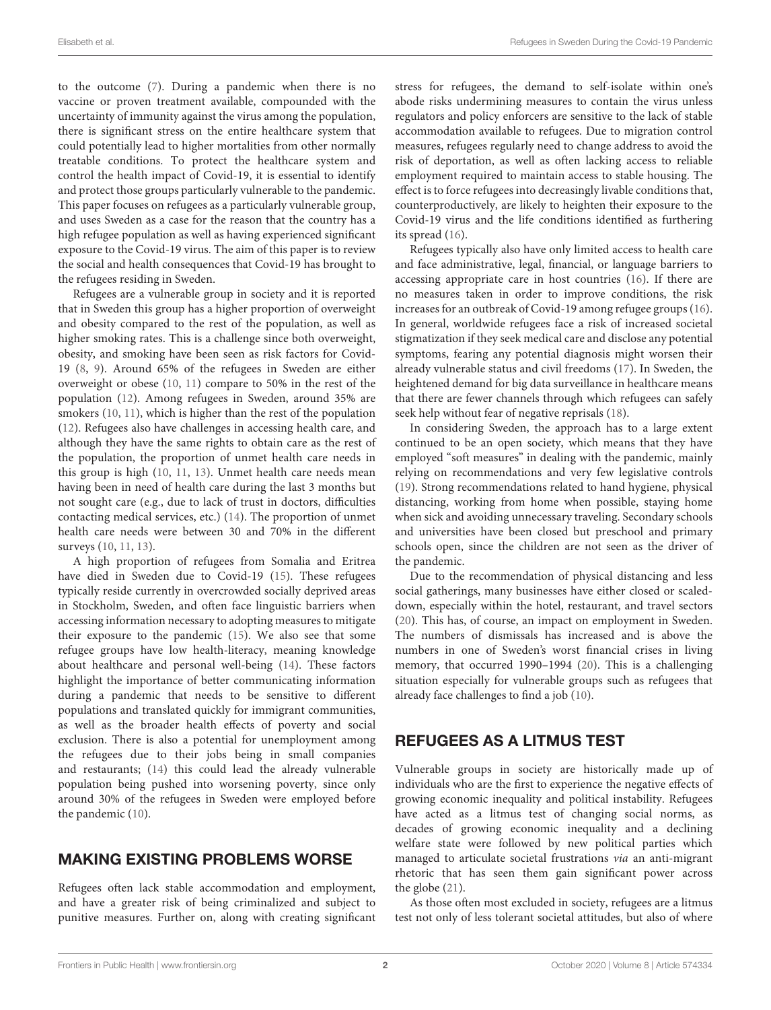to the outcome [\(7\)](#page-3-6). During a pandemic when there is no vaccine or proven treatment available, compounded with the uncertainty of immunity against the virus among the population, there is significant stress on the entire healthcare system that could potentially lead to higher mortalities from other normally treatable conditions. To protect the healthcare system and control the health impact of Covid-19, it is essential to identify and protect those groups particularly vulnerable to the pandemic. This paper focuses on refugees as a particularly vulnerable group, and uses Sweden as a case for the reason that the country has a high refugee population as well as having experienced significant exposure to the Covid-19 virus. The aim of this paper is to review the social and health consequences that Covid-19 has brought to the refugees residing in Sweden.

Refugees are a vulnerable group in society and it is reported that in Sweden this group has a higher proportion of overweight and obesity compared to the rest of the population, as well as higher smoking rates. This is a challenge since both overweight, obesity, and smoking have been seen as risk factors for Covid-19 [\(8,](#page-3-7) [9\)](#page-3-8). Around 65% of the refugees in Sweden are either overweight or obese [\(10,](#page-3-9) [11\)](#page-3-10) compare to 50% in the rest of the population [\(12\)](#page-3-11). Among refugees in Sweden, around 35% are smokers [\(10,](#page-3-9) [11\)](#page-3-10), which is higher than the rest of the population [\(12\)](#page-3-11). Refugees also have challenges in accessing health care, and although they have the same rights to obtain care as the rest of the population, the proportion of unmet health care needs in this group is high [\(10,](#page-3-9) [11,](#page-3-10) [13\)](#page-3-12). Unmet health care needs mean having been in need of health care during the last 3 months but not sought care (e.g., due to lack of trust in doctors, difficulties contacting medical services, etc.) [\(14\)](#page-3-13). The proportion of unmet health care needs were between 30 and 70% in the different surveys [\(10,](#page-3-9) [11,](#page-3-10) [13\)](#page-3-12).

A high proportion of refugees from Somalia and Eritrea have died in Sweden due to Covid-19 [\(15\)](#page-3-14). These refugees typically reside currently in overcrowded socially deprived areas in Stockholm, Sweden, and often face linguistic barriers when accessing information necessary to adopting measures to mitigate their exposure to the pandemic [\(15\)](#page-3-14). We also see that some refugee groups have low health-literacy, meaning knowledge about healthcare and personal well-being [\(14\)](#page-3-13). These factors highlight the importance of better communicating information during a pandemic that needs to be sensitive to different populations and translated quickly for immigrant communities, as well as the broader health effects of poverty and social exclusion. There is also a potential for unemployment among the refugees due to their jobs being in small companies and restaurants; [\(14\)](#page-3-13) this could lead the already vulnerable population being pushed into worsening poverty, since only around 30% of the refugees in Sweden were employed before the pandemic [\(10\)](#page-3-9).

# MAKING EXISTING PROBLEMS WORSE

Refugees often lack stable accommodation and employment, and have a greater risk of being criminalized and subject to punitive measures. Further on, along with creating significant stress for refugees, the demand to self-isolate within one's abode risks undermining measures to contain the virus unless regulators and policy enforcers are sensitive to the lack of stable accommodation available to refugees. Due to migration control measures, refugees regularly need to change address to avoid the risk of deportation, as well as often lacking access to reliable employment required to maintain access to stable housing. The effect is to force refugees into decreasingly livable conditions that, counterproductively, are likely to heighten their exposure to the Covid-19 virus and the life conditions identified as furthering its spread [\(16\)](#page-3-15).

Refugees typically also have only limited access to health care and face administrative, legal, financial, or language barriers to accessing appropriate care in host countries [\(16\)](#page-3-15). If there are no measures taken in order to improve conditions, the risk increases for an outbreak of Covid-19 among refugee groups [\(16\)](#page-3-15). In general, worldwide refugees face a risk of increased societal stigmatization if they seek medical care and disclose any potential symptoms, fearing any potential diagnosis might worsen their already vulnerable status and civil freedoms [\(17\)](#page-3-16). In Sweden, the heightened demand for big data surveillance in healthcare means that there are fewer channels through which refugees can safely seek help without fear of negative reprisals [\(18\)](#page-3-17).

In considering Sweden, the approach has to a large extent continued to be an open society, which means that they have employed "soft measures" in dealing with the pandemic, mainly relying on recommendations and very few legislative controls [\(19\)](#page-3-18). Strong recommendations related to hand hygiene, physical distancing, working from home when possible, staying home when sick and avoiding unnecessary traveling. Secondary schools and universities have been closed but preschool and primary schools open, since the children are not seen as the driver of the pandemic.

Due to the recommendation of physical distancing and less social gatherings, many businesses have either closed or scaleddown, especially within the hotel, restaurant, and travel sectors [\(20\)](#page-3-19). This has, of course, an impact on employment in Sweden. The numbers of dismissals has increased and is above the numbers in one of Sweden's worst financial crises in living memory, that occurred 1990–1994 [\(20\)](#page-3-19). This is a challenging situation especially for vulnerable groups such as refugees that already face challenges to find a job [\(10\)](#page-3-9).

## REFUGEES AS A LITMUS TEST

Vulnerable groups in society are historically made up of individuals who are the first to experience the negative effects of growing economic inequality and political instability. Refugees have acted as a litmus test of changing social norms, as decades of growing economic inequality and a declining welfare state were followed by new political parties which managed to articulate societal frustrations via an anti-migrant rhetoric that has seen them gain significant power across the globe [\(21\)](#page-3-20).

As those often most excluded in society, refugees are a litmus test not only of less tolerant societal attitudes, but also of where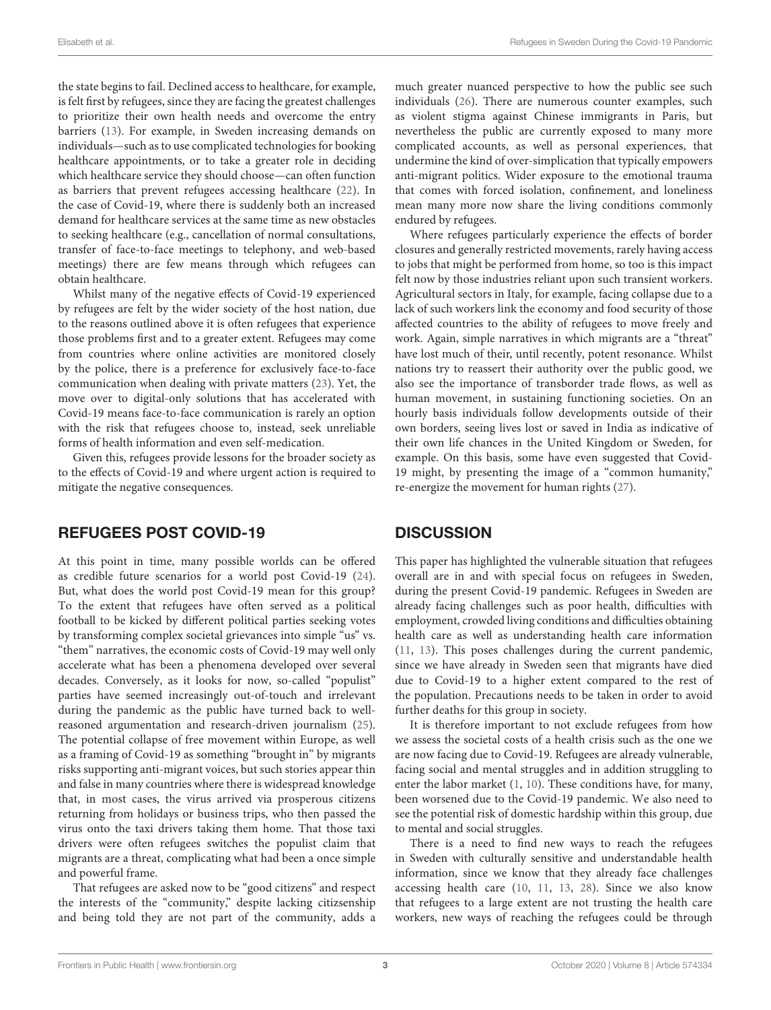the state begins to fail. Declined access to healthcare, for example, is felt first by refugees, since they are facing the greatest challenges to prioritize their own health needs and overcome the entry barriers [\(13\)](#page-3-12). For example, in Sweden increasing demands on individuals—such as to use complicated technologies for booking healthcare appointments, or to take a greater role in deciding which healthcare service they should choose—can often function as barriers that prevent refugees accessing healthcare [\(22\)](#page-4-0). In the case of Covid-19, where there is suddenly both an increased demand for healthcare services at the same time as new obstacles to seeking healthcare (e.g., cancellation of normal consultations, transfer of face-to-face meetings to telephony, and web-based meetings) there are few means through which refugees can obtain healthcare.

Whilst many of the negative effects of Covid-19 experienced by refugees are felt by the wider society of the host nation, due to the reasons outlined above it is often refugees that experience those problems first and to a greater extent. Refugees may come from countries where online activities are monitored closely by the police, there is a preference for exclusively face-to-face communication when dealing with private matters [\(23\)](#page-4-1). Yet, the move over to digital-only solutions that has accelerated with Covid-19 means face-to-face communication is rarely an option with the risk that refugees choose to, instead, seek unreliable forms of health information and even self-medication.

Given this, refugees provide lessons for the broader society as to the effects of Covid-19 and where urgent action is required to mitigate the negative consequences.

#### REFUGEES POST COVID-19

At this point in time, many possible worlds can be offered as credible future scenarios for a world post Covid-19 [\(24\)](#page-4-2). But, what does the world post Covid-19 mean for this group? To the extent that refugees have often served as a political football to be kicked by different political parties seeking votes by transforming complex societal grievances into simple "us" vs. "them" narratives, the economic costs of Covid-19 may well only accelerate what has been a phenomena developed over several decades. Conversely, as it looks for now, so-called "populist" parties have seemed increasingly out-of-touch and irrelevant during the pandemic as the public have turned back to wellreasoned argumentation and research-driven journalism [\(25\)](#page-4-3). The potential collapse of free movement within Europe, as well as a framing of Covid-19 as something "brought in" by migrants risks supporting anti-migrant voices, but such stories appear thin and false in many countries where there is widespread knowledge that, in most cases, the virus arrived via prosperous citizens returning from holidays or business trips, who then passed the virus onto the taxi drivers taking them home. That those taxi drivers were often refugees switches the populist claim that migrants are a threat, complicating what had been a once simple and powerful frame.

That refugees are asked now to be "good citizens" and respect the interests of the "community," despite lacking citizsenship and being told they are not part of the community, adds a

much greater nuanced perspective to how the public see such individuals [\(26\)](#page-4-4). There are numerous counter examples, such as violent stigma against Chinese immigrants in Paris, but nevertheless the public are currently exposed to many more complicated accounts, as well as personal experiences, that undermine the kind of over-simplication that typically empowers anti-migrant politics. Wider exposure to the emotional trauma that comes with forced isolation, confinement, and loneliness mean many more now share the living conditions commonly endured by refugees.

Where refugees particularly experience the effects of border closures and generally restricted movements, rarely having access to jobs that might be performed from home, so too is this impact felt now by those industries reliant upon such transient workers. Agricultural sectors in Italy, for example, facing collapse due to a lack of such workers link the economy and food security of those affected countries to the ability of refugees to move freely and work. Again, simple narratives in which migrants are a "threat" have lost much of their, until recently, potent resonance. Whilst nations try to reassert their authority over the public good, we also see the importance of transborder trade flows, as well as human movement, in sustaining functioning societies. On an hourly basis individuals follow developments outside of their own borders, seeing lives lost or saved in India as indicative of their own life chances in the United Kingdom or Sweden, for example. On this basis, some have even suggested that Covid-19 might, by presenting the image of a "common humanity," re-energize the movement for human rights [\(27\)](#page-4-5).

## **DISCUSSION**

This paper has highlighted the vulnerable situation that refugees overall are in and with special focus on refugees in Sweden, during the present Covid-19 pandemic. Refugees in Sweden are already facing challenges such as poor health, difficulties with employment, crowded living conditions and difficulties obtaining health care as well as understanding health care information [\(11,](#page-3-10) [13\)](#page-3-12). This poses challenges during the current pandemic, since we have already in Sweden seen that migrants have died due to Covid-19 to a higher extent compared to the rest of the population. Precautions needs to be taken in order to avoid further deaths for this group in society.

It is therefore important to not exclude refugees from how we assess the societal costs of a health crisis such as the one we are now facing due to Covid-19. Refugees are already vulnerable, facing social and mental struggles and in addition struggling to enter the labor market [\(1,](#page-3-0) [10\)](#page-3-9). These conditions have, for many, been worsened due to the Covid-19 pandemic. We also need to see the potential risk of domestic hardship within this group, due to mental and social struggles.

There is a need to find new ways to reach the refugees in Sweden with culturally sensitive and understandable health information, since we know that they already face challenges accessing health care [\(10,](#page-3-9) [11,](#page-3-10) [13,](#page-3-12) [28\)](#page-4-6). Since we also know that refugees to a large extent are not trusting the health care workers, new ways of reaching the refugees could be through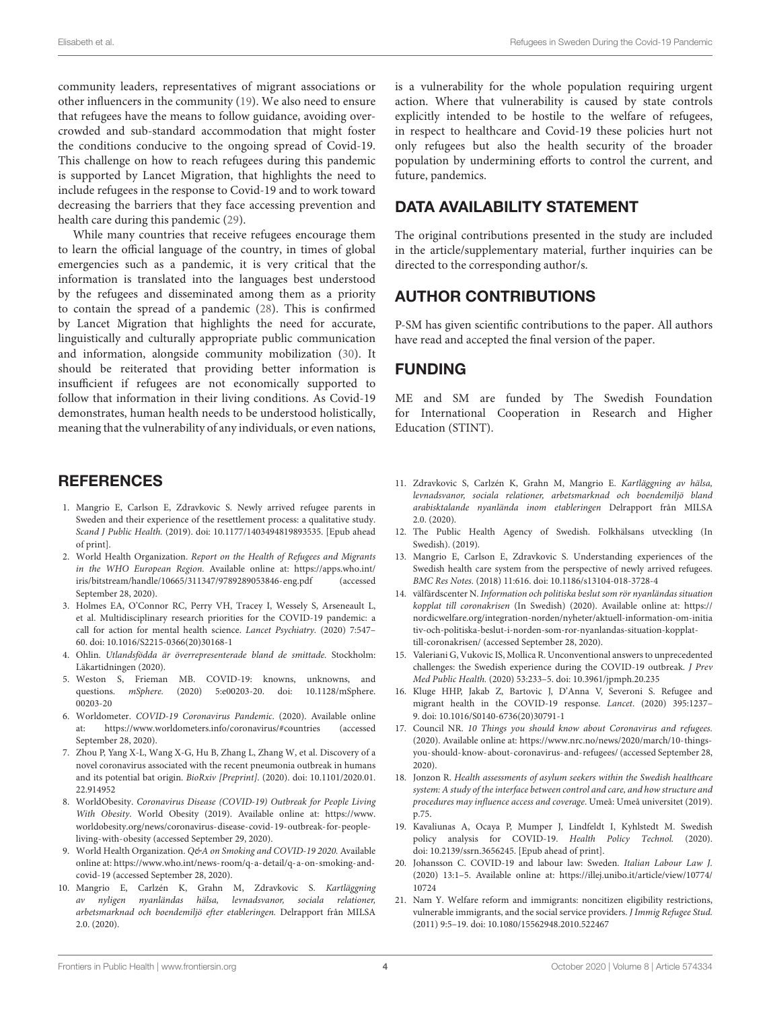community leaders, representatives of migrant associations or other influencers in the community [\(19\)](#page-3-18). We also need to ensure that refugees have the means to follow guidance, avoiding overcrowded and sub-standard accommodation that might foster the conditions conducive to the ongoing spread of Covid-19. This challenge on how to reach refugees during this pandemic is supported by Lancet Migration, that highlights the need to include refugees in the response to Covid-19 and to work toward decreasing the barriers that they face accessing prevention and health care during this pandemic [\(29\)](#page-4-7).

While many countries that receive refugees encourage them to learn the official language of the country, in times of global emergencies such as a pandemic, it is very critical that the information is translated into the languages best understood by the refugees and disseminated among them as a priority to contain the spread of a pandemic [\(28\)](#page-4-6). This is confirmed by Lancet Migration that highlights the need for accurate, linguistically and culturally appropriate public communication and information, alongside community mobilization [\(30\)](#page-4-8). It should be reiterated that providing better information is insufficient if refugees are not economically supported to follow that information in their living conditions. As Covid-19 demonstrates, human health needs to be understood holistically, meaning that the vulnerability of any individuals, or even nations,

## **REFERENCES**

- <span id="page-3-0"></span>1. Mangrio E, Carlson E, Zdravkovic S. Newly arrived refugee parents in Sweden and their experience of the resettlement process: a qualitative study. Scand J Public Health. (2019). doi: [10.1177/1403494819893535.](https://doi.org/10.1177/1403494819893535) [Epub ahead of print].
- <span id="page-3-1"></span>2. World Health Organization. Report on the Health of Refugees and Migrants in the WHO European Region. Available online at: [https://apps.who.int/](https://apps.who.int/iris/bitstream/handle/10665/311347/9789289053846-eng.pdf) [iris/bitstream/handle/10665/311347/9789289053846-eng.pdf](https://apps.who.int/iris/bitstream/handle/10665/311347/9789289053846-eng.pdf) (accessed September 28, 2020).
- <span id="page-3-2"></span>3. Holmes EA, O'Connor RC, Perry VH, Tracey I, Wessely S, Arseneault L, et al. Multidisciplinary research priorities for the COVID-19 pandemic: a call for action for mental health science. Lancet Psychiatry. (2020) 7:547– 60. doi: [10.1016/S2215-0366\(20\)30168-1](https://doi.org/10.1016/S2215-0366(20)30168-1)
- <span id="page-3-3"></span>4. Ohlin. Utlandsfödda är överrepresenterade bland de smittade. Stockholm: Läkartidningen (2020).
- <span id="page-3-4"></span>5. Weston S, Frieman MB. COVID-19: knowns, unknowns, and questions. mSphere. [\(2020\) 5:e00203-20. doi: 10.1128/mSphere.](https://doi.org/10.1128/mSphere.00203-20) 00203-20
- <span id="page-3-5"></span>6. Worldometer. COVID-19 Coronavirus Pandemic. (2020). Available online at:<https://www.worldometers.info/coronavirus/#countries> (accessed September 28, 2020).
- <span id="page-3-6"></span>7. Zhou P, Yang X-L, Wang X-G, Hu B, Zhang L, Zhang W, et al. Discovery of a novel coronavirus associated with the recent pneumonia outbreak in humans and its potential bat origin. BioRxiv [Preprint][. \(2020\). doi: 10.1101/2020.01.](https://doi.org/10.1101/2020.01.22.914952) 22.914952
- <span id="page-3-7"></span>8. WorldObesity. Coronavirus Disease (COVID-19) Outbreak for People Living With Obesity. World Obesity (2019). Available online at: [https://www.](https://www.worldobesity.org/news/coronavirus-disease-covid-19-outbreak-for-people-living-with-obesity) [worldobesity.org/news/coronavirus-disease-covid-19-outbreak-for-people](https://www.worldobesity.org/news/coronavirus-disease-covid-19-outbreak-for-people-living-with-obesity)[living-with-obesity](https://www.worldobesity.org/news/coronavirus-disease-covid-19-outbreak-for-people-living-with-obesity) (accessed September 29, 2020).
- <span id="page-3-8"></span>9. World Health Organization. Q&A on Smoking and COVID-19 2020. Available online at: [https://www.who.int/news-room/q-a-detail/q-a-on-smoking-and](https://www.who.int/news-room/q-a-detail/q-a-on-smoking-and-covid-19)[covid-19](https://www.who.int/news-room/q-a-detail/q-a-on-smoking-and-covid-19) (accessed September 28, 2020).
- <span id="page-3-9"></span>10. Mangrio E, Carlzén K, Grahn M, Zdravkovic S. Kartläggning av nyligen nyanländas hälsa, levnadsvanor, sociala relationer, arbetsmarknad och boendemiljö efter etableringen. Delrapport från MILSA 2.0. (2020).

is a vulnerability for the whole population requiring urgent action. Where that vulnerability is caused by state controls explicitly intended to be hostile to the welfare of refugees, in respect to healthcare and Covid-19 these policies hurt not only refugees but also the health security of the broader population by undermining efforts to control the current, and future, pandemics.

# DATA AVAILABILITY STATEMENT

The original contributions presented in the study are included in the article/supplementary material, further inquiries can be directed to the corresponding author/s.

## AUTHOR CONTRIBUTIONS

P-SM has given scientific contributions to the paper. All authors have read and accepted the final version of the paper.

#### FUNDING

ME and SM are funded by The Swedish Foundation for International Cooperation in Research and Higher Education (STINT).

- <span id="page-3-10"></span>11. Zdravkovic S, Carlzén K, Grahn M, Mangrio E. Kartläggning av hälsa, levnadsvanor, sociala relationer, arbetsmarknad och boendemiljö bland arabisktalande nyanlända inom etableringen Delrapport från MILSA 2.0. (2020).
- <span id="page-3-11"></span>12. The Public Health Agency of Swedish. Folkhälsans utveckling (In Swedish). (2019).
- <span id="page-3-12"></span>13. Mangrio E, Carlson E, Zdravkovic S. Understanding experiences of the Swedish health care system from the perspective of newly arrived refugees. BMC Res Notes. (2018) 11:616. doi: [10.1186/s13104-018-3728-4](https://doi.org/10.1186/s13104-018-3728-4)
- <span id="page-3-13"></span>14. välfärdscenter N. Information och politiska beslut som rör nyanländas situation kopplat till coronakrisen (In Swedish) (2020). Available online at: https:// [nordicwelfare.org/integration-norden/nyheter/aktuell-information-om-initia](https://nordicwelfare.org/integration-norden/nyheter/aktuell-information-om-initiativ-och-politiska-beslut-i-norden-som-ror-nyanlandas-situation-kopplat-till-coronakrisen/) tiv-och-politiska-beslut-i-norden-som-ror-nyanlandas-situation-kopplattill-coronakrisen/ (accessed September 28, 2020).
- <span id="page-3-14"></span>15. Valeriani G, Vukovic IS, Mollica R. Unconventional answers to unprecedented challenges: the Swedish experience during the COVID-19 outbreak. J Prev Med Public Health. (2020) 53:233–5. doi: [10.3961/jpmph.20.235](https://doi.org/10.3961/jpmph.20.235)
- <span id="page-3-15"></span>16. Kluge HHP, Jakab Z, Bartovic J, D'Anna V, Severoni S. Refugee and migrant health in the COVID-19 response. Lancet. (2020) 395:1237– 9. doi: [10.1016/S0140-6736\(20\)30791-1](https://doi.org/10.1016/S0140-6736(20)30791-1)
- <span id="page-3-16"></span>17. Council NR. 10 Things you should know about Coronavirus and refugees. (2020). Available online at: [https://www.nrc.no/news/2020/march/10-things](https://www.nrc.no/news/2020/march/10-things-you-should-know-about-coronavirus-and-refugees/)[you-should-know-about-coronavirus-and-refugees/](https://www.nrc.no/news/2020/march/10-things-you-should-know-about-coronavirus-and-refugees/) (accessed September 28, 2020).
- <span id="page-3-17"></span>18. Jonzon R. Health assessments of asylum seekers within the Swedish healthcare system: A study of the interface between control and care, and how structure and procedures may influence access and coverage. Umeå: Umeå universitet (2019). p.75.
- <span id="page-3-18"></span>19. Kavaliunas A, Ocaya P, Mumper J, Lindfeldt I, Kyhlstedt M. Swedish policy analysis for COVID-19. Health Policy Technol. (2020). doi: [10.2139/ssrn.3656245.](https://doi.org/10.2139/ssrn.3656245) [Epub ahead of print].
- <span id="page-3-19"></span>20. Johansson C. COVID-19 and labour law: Sweden. Italian Labour Law J. (2020) 13:1–5. Available online at: [https://illej.unibo.it/article/view/10774/](https://illej.unibo.it/article/view/10774/10724) [10724](https://illej.unibo.it/article/view/10774/10724)
- <span id="page-3-20"></span>21. Nam Y. Welfare reform and immigrants: noncitizen eligibility restrictions, vulnerable immigrants, and the social service providers. J Immig Refugee Stud. (2011) 9:5–19. doi: [10.1080/15562948.2010.522467](https://doi.org/10.1080/15562948.2010.522467)